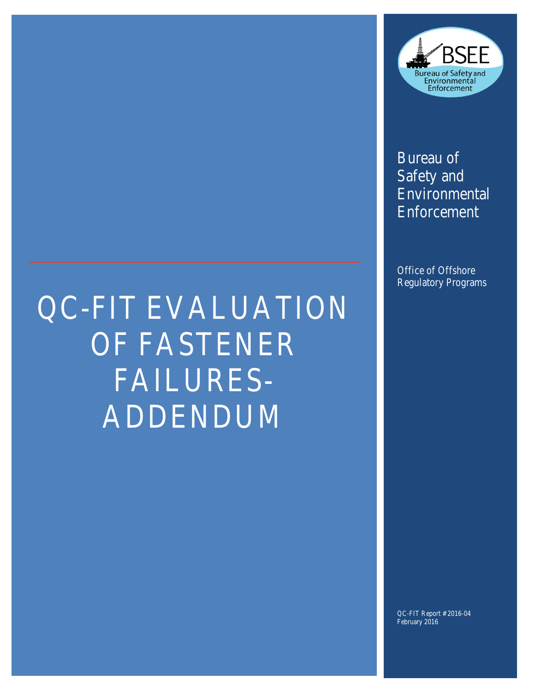

Bureau of Safety and Environmental Enforcement

Office of Offshore Regulatory Programs

# QC-FIT EVALUATION OF FASTENER FAILURES-ADDENDUM

QC-FIT Report # 2016-04 February 2016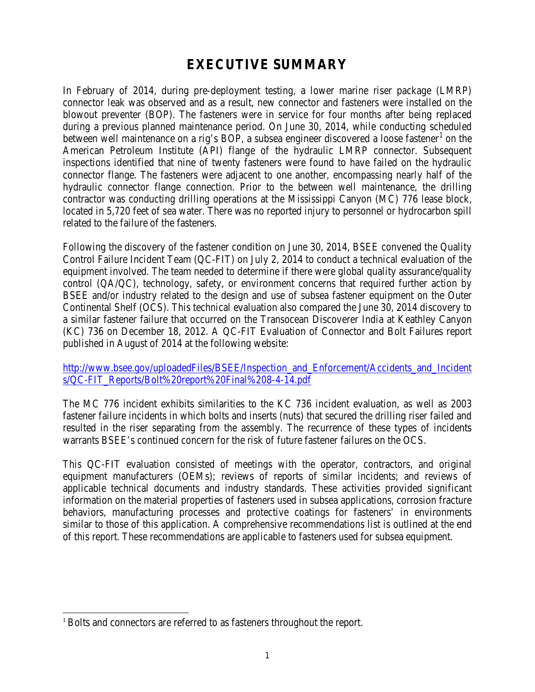# **EXECUTIVE SUMMARY**

In February of 2014, during pre-deployment testing, a lower marine riser package (LMRP) connector leak was observed and as a result, new connector and fasteners were installed on the blowout preventer (BOP). The fasteners were in service for four months after being replaced during a previous planned maintenance period. On June 30, 2014, while conducting scheduled between well maintenance on a rig's BOP, a subsea engineer discovered a loose fastener<sup>[1](#page-1-0)</sup> on the American Petroleum Institute (API) flange of the hydraulic LMRP connector. Subsequent inspections identified that nine of twenty fasteners were found to have failed on the hydraulic connector flange. The fasteners were adjacent to one another, encompassing nearly half of the hydraulic connector flange connection. Prior to the between well maintenance, the drilling contractor was conducting drilling operations at the Mississippi Canyon (MC) 776 lease block, located in 5,720 feet of sea water. There was no reported injury to personnel or hydrocarbon spill related to the failure of the fasteners.

Following the discovery of the fastener condition on June 30, 2014, BSEE convened the Quality Control Failure Incident Team (QC-FIT) on July 2, 2014 to conduct a technical evaluation of the equipment involved. The team needed to determine if there were global quality assurance/quality control (QA/QC), technology, safety, or environment concerns that required further action by BSEE and/or industry related to the design and use of subsea fastener equipment on the Outer Continental Shelf (OCS). This technical evaluation also compared the June 30, 2014 discovery to a similar fastener failure that occurred on the Transocean Discoverer India at Keathley Canyon (KC) 736 on December 18, 2012. A QC-FIT Evaluation of Connector and Bolt Failures report published in August of 2014 at the following website:

[http://www.bsee.gov/uploadedFiles/BSEE/Inspection\\_and\\_Enforcement/Accidents\\_and\\_Incident](http://www.bsee.gov/uploadedFiles/BSEE/Inspection_and_Enforcement/Accidents_and_Incidents/QC-FIT_Reports/Bolt%20report%20Final%208-4-14.pdf) [s/QC-FIT\\_Reports/Bolt%20report%20Final%208-4-14.pdf](http://www.bsee.gov/uploadedFiles/BSEE/Inspection_and_Enforcement/Accidents_and_Incidents/QC-FIT_Reports/Bolt%20report%20Final%208-4-14.pdf)

The MC 776 incident exhibits similarities to the KC 736 incident evaluation, as well as 2003 fastener failure incidents in which bolts and inserts (nuts) that secured the drilling riser failed and resulted in the riser separating from the assembly. The recurrence of these types of incidents warrants BSEE's continued concern for the risk of future fastener failures on the OCS.

This QC-FIT evaluation consisted of meetings with the operator, contractors, and original equipment manufacturers (OEMs); reviews of reports of similar incidents; and reviews of applicable technical documents and industry standards. These activities provided significant information on the material properties of fasteners used in subsea applications, corrosion fracture behaviors, manufacturing processes and protective coatings for fasteners' in environments similar to those of this application. A comprehensive recommendations list is outlined at the end of this report. These recommendations are applicable to fasteners used for subsea equipment.

 $\overline{a}$ 

<span id="page-1-0"></span><sup>&</sup>lt;sup>1</sup> Bolts and connectors are referred to as fasteners throughout the report.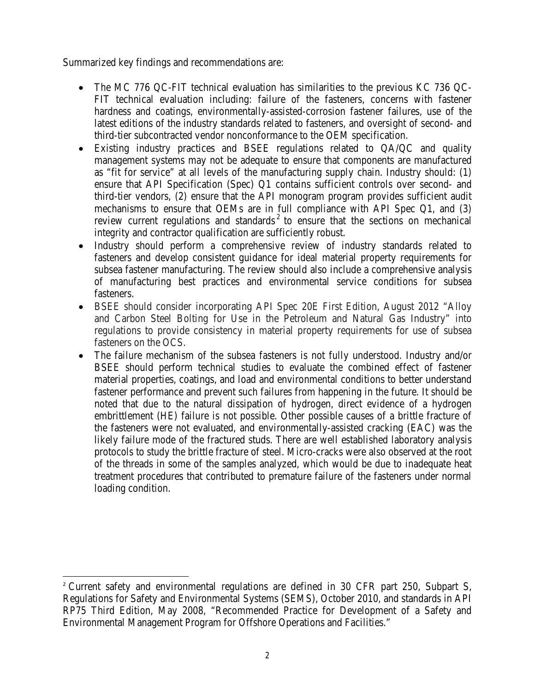Summarized key findings and recommendations are:

- The MC 776 QC-FIT technical evaluation has similarities to the previous KC 736 QC-FIT technical evaluation including: failure of the fasteners, concerns with fastener hardness and coatings, environmentally-assisted-corrosion fastener failures, use of the latest editions of the industry standards related to fasteners, and oversight of second- and third-tier subcontracted vendor nonconformance to the OEM specification.
- Existing industry practices and BSEE regulations related to QA/QC and quality management systems may not be adequate to ensure that components are manufactured as "fit for service" at all levels of the manufacturing supply chain. Industry should: (1) ensure that API Specification (Spec) Q1 contains sufficient controls over second- and third-tier vendors, (2) ensure that the API monogram program provides sufficient audit mechanisms to ensure that OEMs are in full compliance with API Spec Q1, and (3) review current regulations and standards<sup>[2](#page-2-0)</sup> to ensure that the sections on mechanical integrity and contractor qualification are sufficiently robust.
- Industry should perform a comprehensive review of industry standards related to fasteners and develop consistent guidance for ideal material property requirements for subsea fastener manufacturing. The review should also include a comprehensive analysis of manufacturing best practices and environmental service conditions for subsea fasteners.
- BSEE should consider incorporating API Spec 20E First Edition, August 2012 "Alloy and Carbon Steel Bolting for Use in the Petroleum and Natural Gas Industry" into regulations to provide consistency in material property requirements for use of subsea fasteners on the OCS.
- The failure mechanism of the subsea fasteners is not fully understood. Industry and/or BSEE should perform technical studies to evaluate the combined effect of fastener material properties, coatings, and load and environmental conditions to better understand fastener performance and prevent such failures from happening in the future. It should be noted that due to the natural dissipation of hydrogen, direct evidence of a hydrogen embrittlement (HE) failure is not possible. Other possible causes of a brittle fracture of the fasteners were not evaluated, and environmentally-assisted cracking (EAC) was the likely failure mode of the fractured studs. There are well established laboratory analysis protocols to study the brittle fracture of steel. Micro-cracks were also observed at the root of the threads in some of the samples analyzed, which would be due to inadequate heat treatment procedures that contributed to premature failure of the fasteners under normal loading condition.

 $\overline{a}$ 

<span id="page-2-0"></span><sup>&</sup>lt;sup>2</sup> Current safety and environmental regulations are defined in 30 CFR part 250, Subpart S, Regulations for Safety and Environmental Systems (SEMS), October 2010, and standards in API RP75 Third Edition, May 2008, "Recommended Practice for Development of a Safety and Environmental Management Program for Offshore Operations and Facilities."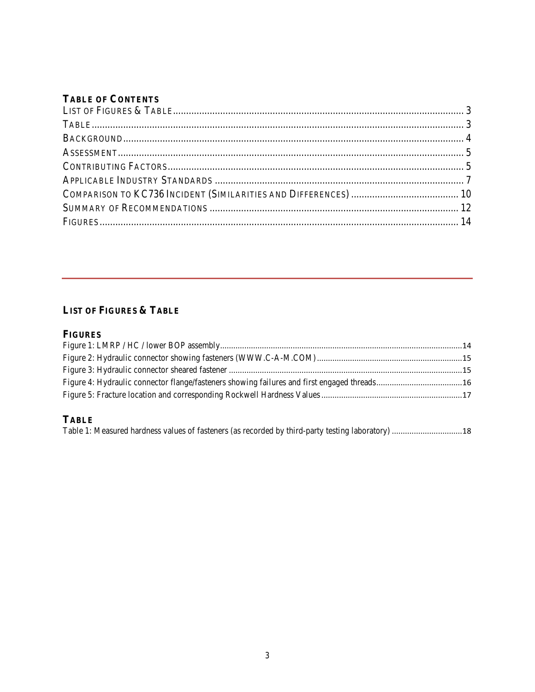### **TABLE OF CONTENTS**

# <span id="page-3-0"></span>**LIST OF FIGURES & TABLE**

#### **FIGURES**

# <span id="page-3-1"></span>**TABLE**

| Table 1: Measured hardness values of fasteners (as recorded by third-party testing laboratory)  18 |  |  |  |
|----------------------------------------------------------------------------------------------------|--|--|--|
|                                                                                                    |  |  |  |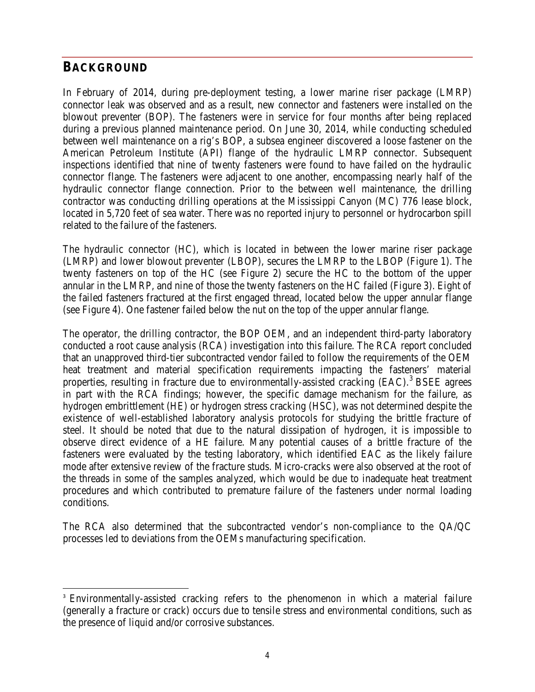# <span id="page-4-0"></span>**BACKGROUND**

 $\overline{a}$ 

In February of 2014, during pre-deployment testing, a lower marine riser package (LMRP) connector leak was observed and as a result, new connector and fasteners were installed on the blowout preventer (BOP). The fasteners were in service for four months after being replaced during a previous planned maintenance period. On June 30, 2014, while conducting scheduled between well maintenance on a rig's BOP, a subsea engineer discovered a loose fastener on the American Petroleum Institute (API) flange of the hydraulic LMRP connector. Subsequent inspections identified that nine of twenty fasteners were found to have failed on the hydraulic connector flange. The fasteners were adjacent to one another, encompassing nearly half of the hydraulic connector flange connection. Prior to the between well maintenance, the drilling contractor was conducting drilling operations at the Mississippi Canyon (MC) 776 lease block, located in 5,720 feet of sea water. There was no reported injury to personnel or hydrocarbon spill related to the failure of the fasteners.

The hydraulic connector (HC), which is located in between the lower marine riser package (LMRP) and lower blowout preventer (LBOP), secures the LMRP to the LBOP (Figure 1). The twenty fasteners on top of the HC (see Figure 2) secure the HC to the bottom of the upper annular in the LMRP, and nine of those the twenty fasteners on the HC failed (Figure 3). Eight of the failed fasteners fractured at the first engaged thread, located below the upper annular flange (see Figure 4). One fastener failed below the nut on the top of the upper annular flange.

The operator, the drilling contractor, the BOP OEM, and an independent third-party laboratory conducted a root cause analysis (RCA) investigation into this failure. The RCA report concluded that an unapproved third-tier subcontracted vendor failed to follow the requirements of the OEM heat treatment and material specification requirements impacting the fasteners' material properties, resulting in fracture due to environmentally-assisted cracking (EAC).<sup>[3](#page-4-1)</sup> BSEE agrees in part with the RCA findings; however, the specific damage mechanism for the failure, as hydrogen embrittlement (HE) or hydrogen stress cracking (HSC), was not determined despite the existence of well-established laboratory analysis protocols for studying the brittle fracture of steel. It should be noted that due to the natural dissipation of hydrogen, it is impossible to observe direct evidence of a HE failure. Many potential causes of a brittle fracture of the fasteners were evaluated by the testing laboratory, which identified EAC as the likely failure mode after extensive review of the fracture studs. Micro-cracks were also observed at the root of the threads in some of the samples analyzed, which would be due to inadequate heat treatment procedures and which contributed to premature failure of the fasteners under normal loading conditions.

The RCA also determined that the subcontracted vendor's non-compliance to the QA/QC processes led to deviations from the OEMs manufacturing specification.

<span id="page-4-1"></span><sup>&</sup>lt;sup>3</sup> Environmentally-assisted cracking refers to the phenomenon in which a material failure (generally a fracture or crack) occurs due to tensile stress and environmental conditions, such as the presence of liquid and/or corrosive substances.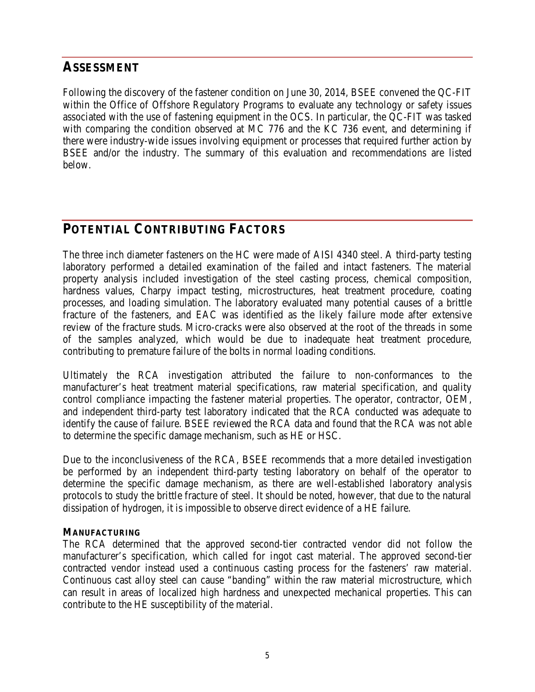# <span id="page-5-0"></span>**ASSESSMENT**

Following the discovery of the fastener condition on June 30, 2014, BSEE convened the QC-FIT within the Office of Offshore Regulatory Programs to evaluate any technology or safety issues associated with the use of fastening equipment in the OCS. In particular, the QC-FIT was tasked with comparing the condition observed at MC 776 and the KC 736 event, and determining if there were industry-wide issues involving equipment or processes that required further action by BSEE and/or the industry. The summary of this evaluation and recommendations are listed below.

# <span id="page-5-1"></span>**POTENTIAL CONTRIBUTING FACTORS**

The three inch diameter fasteners on the HC were made of AISI 4340 steel. A third-party testing laboratory performed a detailed examination of the failed and intact fasteners. The material property analysis included investigation of the steel casting process, chemical composition, hardness values, Charpy impact testing, microstructures, heat treatment procedure, coating processes, and loading simulation. The laboratory evaluated many potential causes of a brittle fracture of the fasteners, and EAC was identified as the likely failure mode after extensive review of the fracture studs. Micro-cracks were also observed at the root of the threads in some of the samples analyzed, which would be due to inadequate heat treatment procedure, contributing to premature failure of the bolts in normal loading conditions.

Ultimately the RCA investigation attributed the failure to non-conformances to the manufacturer's heat treatment material specifications, raw material specification, and quality control compliance impacting the fastener material properties. The operator, contractor, OEM, and independent third-party test laboratory indicated that the RCA conducted was adequate to identify the cause of failure. BSEE reviewed the RCA data and found that the RCA was not able to determine the specific damage mechanism, such as HE or HSC.

Due to the inconclusiveness of the RCA, BSEE recommends that a more detailed investigation be performed by an independent third-party testing laboratory on behalf of the operator to determine the specific damage mechanism, as there are well-established laboratory analysis protocols to study the brittle fracture of steel. It should be noted, however, that due to the natural dissipation of hydrogen, it is impossible to observe direct evidence of a HE failure.

#### **MANUFACTURING**

The RCA determined that the approved second-tier contracted vendor did not follow the manufacturer's specification, which called for ingot cast material. The approved second-tier contracted vendor instead used a continuous casting process for the fasteners' raw material. Continuous cast alloy steel can cause "banding" within the raw material microstructure, which can result in areas of localized high hardness and unexpected mechanical properties. This can contribute to the HE susceptibility of the material.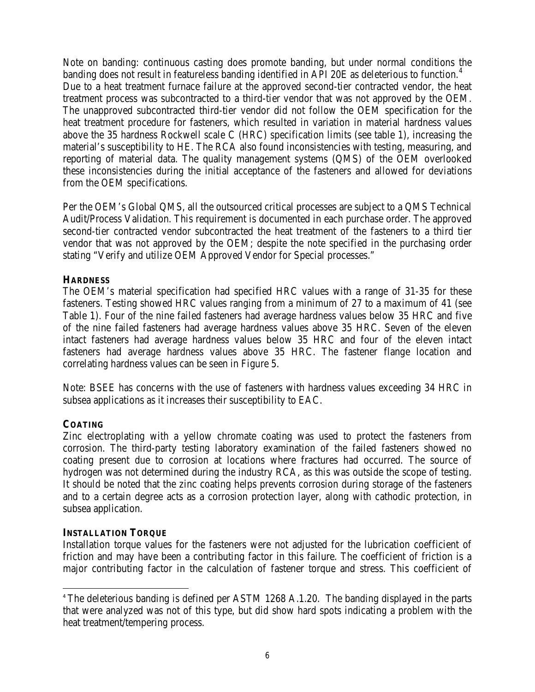Note on banding: continuous casting does promote banding, but under normal conditions the banding does not result in featureless banding identified in API 20E as deleterious to function.<sup>[4](#page-6-0)</sup> Due to a heat treatment furnace failure at the approved second-tier contracted vendor, the heat treatment process was subcontracted to a third-tier vendor that was not approved by the OEM. The unapproved subcontracted third-tier vendor did not follow the OEM specification for the heat treatment procedure for fasteners, which resulted in variation in material hardness values above the 35 hardness Rockwell scale C (HRC) specification limits (see table 1), increasing the material's susceptibility to HE. The RCA also found inconsistencies with testing, measuring, and reporting of material data. The quality management systems (QMS) of the OEM overlooked these inconsistencies during the initial acceptance of the fasteners and allowed for deviations from the OEM specifications.

Per the OEM's Global QMS, all the outsourced critical processes are subject to a QMS Technical Audit/Process Validation. This requirement is documented in each purchase order. The approved second-tier contracted vendor subcontracted the heat treatment of the fasteners to a third tier vendor that was not approved by the OEM; despite the note specified in the purchasing order stating "Verify and utilize OEM Approved Vendor for Special processes."

#### **HARDNESS**

The OEM's material specification had specified HRC values with a range of 31-35 for these fasteners. Testing showed HRC values ranging from a minimum of 27 to a maximum of 41 (see Table 1). Four of the nine failed fasteners had average hardness values below 35 HRC and five of the nine failed fasteners had average hardness values above 35 HRC. Seven of the eleven intact fasteners had average hardness values below 35 HRC and four of the eleven intact fasteners had average hardness values above 35 HRC. The fastener flange location and correlating hardness values can be seen in Figure 5.

Note: BSEE has concerns with the use of fasteners with hardness values exceeding 34 HRC in subsea applications as it increases their susceptibility to EAC.

#### **COATING**

 $\overline{a}$ 

Zinc electroplating with a yellow chromate coating was used to protect the fasteners from corrosion. The third-party testing laboratory examination of the failed fasteners showed no coating present due to corrosion at locations where fractures had occurred. The source of hydrogen was not determined during the industry RCA, as this was outside the scope of testing. It should be noted that the zinc coating helps prevents corrosion during storage of the fasteners and to a certain degree acts as a corrosion protection layer, along with cathodic protection, in subsea application.

#### **INSTALLATION TORQUE**

Installation torque values for the fasteners were not adjusted for the lubrication coefficient of friction and may have been a contributing factor in this failure. The coefficient of friction is a major contributing factor in the calculation of fastener torque and stress. This coefficient of

<span id="page-6-0"></span><sup>&</sup>lt;sup>4</sup> The deleterious banding is defined per ASTM 1268 A.1.20. The banding displayed in the parts that were analyzed was not of this type, but did show hard spots indicating a problem with the heat treatment/tempering process.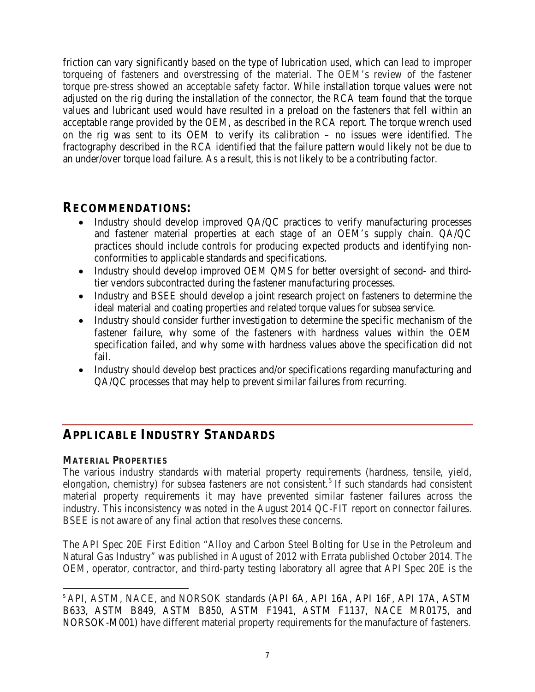friction can vary significantly based on the type of lubrication used, which can lead to improper torqueing of fasteners and overstressing of the material. The OEM's review of the fastener torque pre-stress showed an acceptable safety factor. While installation torque values were not adjusted on the rig during the installation of the connector, the RCA team found that the torque values and lubricant used would have resulted in a preload on the fasteners that fell within an acceptable range provided by the OEM, as described in the RCA report. The torque wrench used on the rig was sent to its OEM to verify its calibration – no issues were identified. The fractography described in the RCA identified that the failure pattern would likely not be due to an under/over torque load failure. As a result, this is not likely to be a contributing factor.

# **RECOMMENDATIONS:**

- Industry should develop improved QA/QC practices to verify manufacturing processes and fastener material properties at each stage of an OEM's supply chain. QA/QC practices should include controls for producing expected products and identifying nonconformities to applicable standards and specifications.
- Industry should develop improved OEM QMS for better oversight of second- and thirdtier vendors subcontracted during the fastener manufacturing processes.
- Industry and BSEE should develop a joint research project on fasteners to determine the ideal material and coating properties and related torque values for subsea service.
- Industry should consider further investigation to determine the specific mechanism of the fastener failure, why some of the fasteners with hardness values within the OEM specification failed, and why some with hardness values above the specification did not fail.
- Industry should develop best practices and/or specifications regarding manufacturing and QA/QC processes that may help to prevent similar failures from recurring.

# <span id="page-7-0"></span>**APPLICABLE INDUSTRY STANDARDS**

#### **MATERIAL PROPERTIES**

 $\overline{a}$ 

The various industry standards with material property requirements (hardness, tensile, yield, elongation, chemistry) for subsea fasteners are not consistent.<sup>[5](#page-7-1)</sup> If such standards had consistent material property requirements it may have prevented similar fastener failures across the industry. This inconsistency was noted in the August 2014 QC-FIT report on connector failures. BSEE is not aware of any final action that resolves these concerns.

The API Spec 20E First Edition "Alloy and Carbon Steel Bolting for Use in the Petroleum and Natural Gas Industry" was published in August of 2012 with Errata published October 2014. The OEM, operator, contractor, and third-party testing laboratory all agree that API Spec 20E is the

<span id="page-7-1"></span><sup>&</sup>lt;sup>5</sup> API, ASTM, NACE, and NORSOK standards (API 6A, API 16A, API 16F, API 17A, ASTM B633, ASTM B849, ASTM B850, ASTM F1941, ASTM F1137, NACE MR0175, and NORSOK-M001) have different material property requirements for the manufacture of fasteners.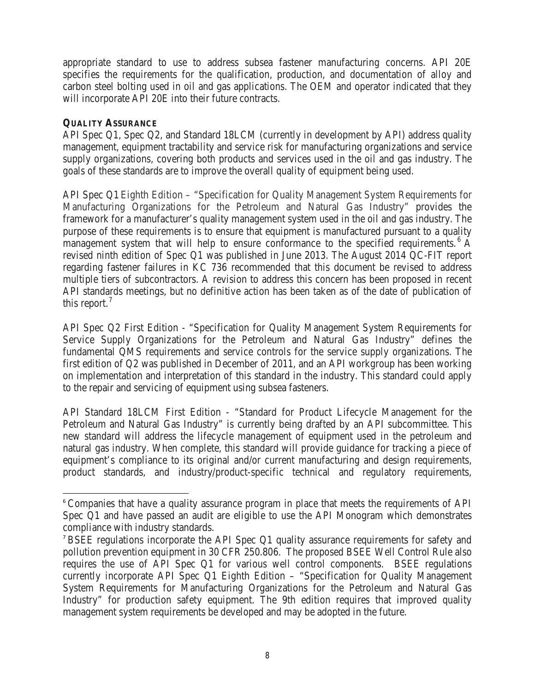appropriate standard to use to address subsea fastener manufacturing concerns. API 20E specifies the requirements for the qualification, production, and documentation of alloy and carbon steel bolting used in oil and gas applications. The OEM and operator indicated that they will incorporate API 20E into their future contracts.

#### **QUALITY ASSURANCE**

 $\overline{a}$ 

API Spec Q1, Spec Q2, and Standard 18LCM (currently in development by API) address quality management, equipment tractability and service risk for manufacturing organizations and service supply organizations, covering both products and services used in the oil and gas industry. The goals of these standards are to improve the overall quality of equipment being used.

API Spec Q1 Eighth Edition – "Specification for Quality Management System Requirements for Manufacturing Organizations for the Petroleum and Natural Gas Industry" provides the framework for a manufacturer's quality management system used in the oil and gas industry. The purpose of these requirements is to ensure that equipment is manufactured pursuant to a quality management system that will help to ensure conformance to the specified requirements.<sup>[6](#page-8-0)</sup> A revised ninth edition of Spec Q1 was published in June 2013. The August 2014 QC-FIT report regarding fastener failures in KC 736 recommended that this document be revised to address multiple tiers of subcontractors. A revision to address this concern has been proposed in recent API standards meetings, but no definitive action has been taken as of the date of publication of this report.<sup>[7](#page-8-1)</sup>

API Spec Q2 First Edition - "Specification for Quality Management System Requirements for Service Supply Organizations for the Petroleum and Natural Gas Industry" defines the fundamental QMS requirements and service controls for the service supply organizations. The first edition of Q2 was published in December of 2011, and an API workgroup has been working on implementation and interpretation of this standard in the industry. This standard could apply to the repair and servicing of equipment using subsea fasteners.

API Standard 18LCM First Edition - "Standard for Product Lifecycle Management for the Petroleum and Natural Gas Industry" is currently being drafted by an API subcommittee. This new standard will address the lifecycle management of equipment used in the petroleum and natural gas industry. When complete, this standard will provide guidance for tracking a piece of equipment's compliance to its original and/or current manufacturing and design requirements, product standards, and industry/product-specific technical and regulatory requirements,

<span id="page-8-0"></span><sup>&</sup>lt;sup>6</sup> Companies that have a quality assurance program in place that meets the requirements of API Spec Q1 and have passed an audit are eligible to use the API Monogram which demonstrates compliance with industry standards.

<span id="page-8-1"></span><sup>7</sup> BSEE regulations incorporate the API Spec Q1 quality assurance requirements for safety and pollution prevention equipment in 30 CFR 250.806. The proposed BSEE Well Control Rule also requires the use of API Spec Q1 for various well control components. BSEE regulations currently incorporate API Spec Q1 Eighth Edition – "Specification for Quality Management System Requirements for Manufacturing Organizations for the Petroleum and Natural Gas Industry" for production safety equipment. The 9th edition requires that improved quality management system requirements be developed and may be adopted in the future.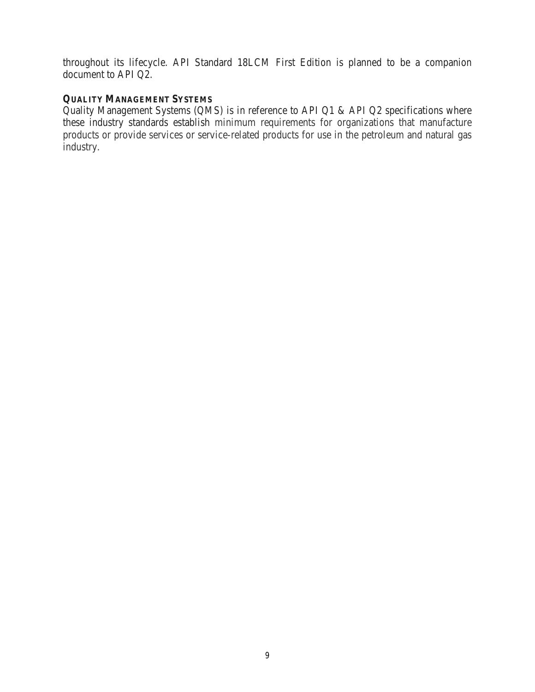throughout its lifecycle. API Standard 18LCM First Edition is planned to be a companion document to API Q2.

## **QUALITY MANAGEMENT SYSTEMS**

Quality Management Systems (QMS) is in reference to API Q1 & API Q2 specifications where these industry standards establish minimum requirements for organizations that manufacture products or provide services or service-related products for use in the petroleum and natural gas industry.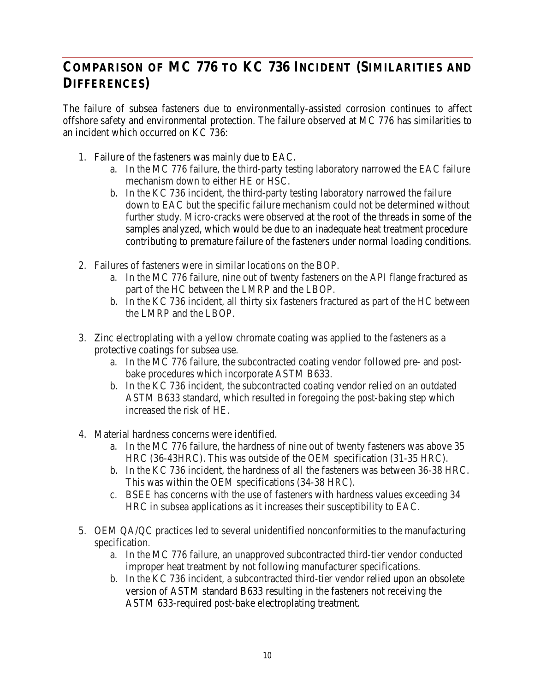# <span id="page-10-0"></span>**COMPARISON OF MC 776 TO KC 736 INCIDENT (SIMILARITIES AND DIFFERENCES)**

The failure of subsea fasteners due to environmentally-assisted corrosion continues to affect offshore safety and environmental protection. The failure observed at MC 776 has similarities to an incident which occurred on KC 736:

- 1. Failure of the fasteners was mainly due to EAC.
	- a. In the MC 776 failure, the third-party testing laboratory narrowed the EAC failure mechanism down to either HE or HSC.
	- b. In the KC 736 incident, the third-party testing laboratory narrowed the failure down to EAC but the specific failure mechanism could not be determined without further study. Micro-cracks were observed at the root of the threads in some of the samples analyzed, which would be due to an inadequate heat treatment procedure contributing to premature failure of the fasteners under normal loading conditions.
- 2. Failures of fasteners were in similar locations on the BOP.
	- a. In the MC 776 failure, nine out of twenty fasteners on the API flange fractured as part of the HC between the LMRP and the LBOP.
	- b. In the KC 736 incident, all thirty six fasteners fractured as part of the HC between the LMRP and the LBOP.
- 3. Zinc electroplating with a yellow chromate coating was applied to the fasteners as a protective coatings for subsea use.
	- a. In the MC 776 failure, the subcontracted coating vendor followed pre- and postbake procedures which incorporate ASTM B633.
	- b. In the KC 736 incident, the subcontracted coating vendor relied on an outdated ASTM B633 standard, which resulted in foregoing the post-baking step which increased the risk of HE.
- 4. Material hardness concerns were identified.
	- a. In the MC 776 failure, the hardness of nine out of twenty fasteners was above 35 HRC (36-43HRC). This was outside of the OEM specification (31-35 HRC).
	- b. In the KC 736 incident, the hardness of all the fasteners was between 36-38 HRC. This was within the OEM specifications (34-38 HRC).
	- c. BSEE has concerns with the use of fasteners with hardness values exceeding 34 HRC in subsea applications as it increases their susceptibility to EAC.
- 5. OEM QA/QC practices led to several unidentified nonconformities to the manufacturing specification.
	- a. In the MC 776 failure, an unapproved subcontracted third-tier vendor conducted improper heat treatment by not following manufacturer specifications.
	- b. In the KC 736 incident, a subcontracted third-tier vendor relied upon an obsolete version of ASTM standard B633 resulting in the fasteners not receiving the ASTM 633-required post-bake electroplating treatment.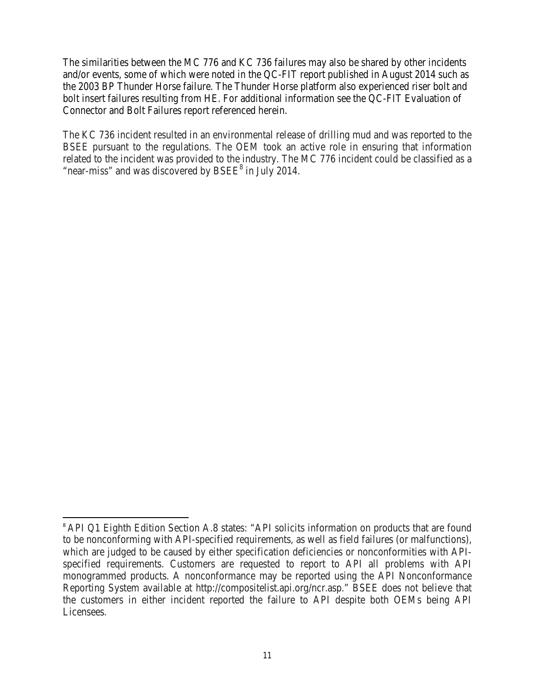The similarities between the MC 776 and KC 736 failures may also be shared by other incidents and/or events, some of which were noted in the QC-FIT report published in August 2014 such as the 2003 BP Thunder Horse failure. The Thunder Horse platform also experienced riser bolt and bolt insert failures resulting from HE. For additional information see the QC-FIT Evaluation of Connector and Bolt Failures report referenced herein.

The KC 736 incident resulted in an environmental release of drilling mud and was reported to the BSEE pursuant to the regulations. The OEM took an active role in ensuring that information related to the incident was provided to the industry. The MC 776 incident could be classified as a "near-miss" and was discovered by  $BSEE^8$  $BSEE^8$  in July 2014.

 $\overline{a}$ 

<span id="page-11-0"></span><sup>&</sup>lt;sup>8</sup> API Q1 Eighth Edition Section A.8 states: "API solicits information on products that are found to be nonconforming with API-specified requirements, as well as field failures (or malfunctions), which are judged to be caused by either specification deficiencies or nonconformities with APIspecified requirements. Customers are requested to report to API all problems with API monogrammed products. A nonconformance may be reported using the API Nonconformance Reporting System available at http://compositelist.api.org/ncr.asp." BSEE does not believe that the customers in either incident reported the failure to API despite both OEMs being API Licensees.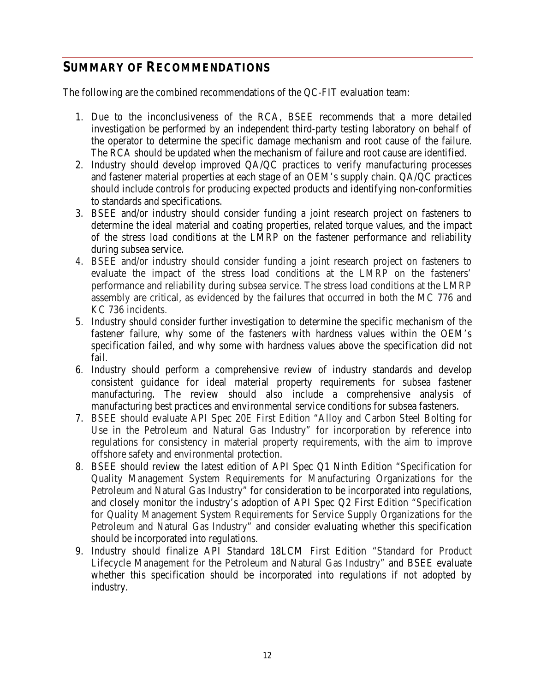# <span id="page-12-0"></span>**SUMMARY OF RECOMMENDATIONS**

The following are the combined recommendations of the QC-FIT evaluation team:

- 1. Due to the inconclusiveness of the RCA, BSEE recommends that a more detailed investigation be performed by an independent third-party testing laboratory on behalf of the operator to determine the specific damage mechanism and root cause of the failure. The RCA should be updated when the mechanism of failure and root cause are identified.
- 2. Industry should develop improved QA/QC practices to verify manufacturing processes and fastener material properties at each stage of an OEM's supply chain. QA/QC practices should include controls for producing expected products and identifying non-conformities to standards and specifications.
- 3. BSEE and/or industry should consider funding a joint research project on fasteners to determine the ideal material and coating properties, related torque values, and the impact of the stress load conditions at the LMRP on the fastener performance and reliability during subsea service.
- 4. BSEE and/or industry should consider funding a joint research project on fasteners to evaluate the impact of the stress load conditions at the LMRP on the fasteners' performance and reliability during subsea service. The stress load conditions at the LMRP assembly are critical, as evidenced by the failures that occurred in both the MC 776 and KC 736 incidents.
- 5. Industry should consider further investigation to determine the specific mechanism of the fastener failure, why some of the fasteners with hardness values within the OEM's specification failed, and why some with hardness values above the specification did not fail.
- 6. Industry should perform a comprehensive review of industry standards and develop consistent guidance for ideal material property requirements for subsea fastener manufacturing. The review should also include a comprehensive analysis of manufacturing best practices and environmental service conditions for subsea fasteners.
- 7. BSEE should evaluate API Spec 20E First Edition "Alloy and Carbon Steel Bolting for Use in the Petroleum and Natural Gas Industry" for incorporation by reference into regulations for consistency in material property requirements, with the aim to improve offshore safety and environmental protection.
- 8. BSEE should review the latest edition of API Spec Q1 Ninth Edition "Specification for Quality Management System Requirements for Manufacturing Organizations for the Petroleum and Natural Gas Industry" for consideration to be incorporated into regulations, and closely monitor the industry's adoption of API Spec Q2 First Edition "Specification for Quality Management System Requirements for Service Supply Organizations for the Petroleum and Natural Gas Industry" and consider evaluating whether this specification should be incorporated into regulations.
- 9. Industry should finalize API Standard 18LCM First Edition "Standard for Product Lifecycle Management for the Petroleum and Natural Gas Industry" and BSEE evaluate whether this specification should be incorporated into regulations if not adopted by industry.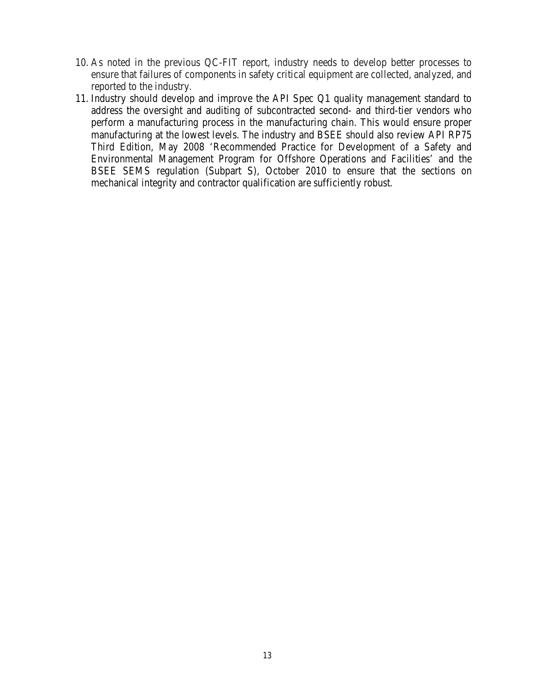- 10. As noted in the previous QC-FIT report, industry needs to develop better processes to ensure that failures of components in safety critical equipment are collected, analyzed, and reported to the industry.
- 11. Industry should develop and improve the API Spec Q1 quality management standard to address the oversight and auditing of subcontracted second- and third-tier vendors who perform a manufacturing process in the manufacturing chain. This would ensure proper manufacturing at the lowest levels. The industry and BSEE should also review API RP75 Third Edition, May 2008 'Recommended Practice for Development of a Safety and Environmental Management Program for Offshore Operations and Facilities' and the BSEE SEMS regulation (Subpart S), October 2010 to ensure that the sections on mechanical integrity and contractor qualification are sufficiently robust.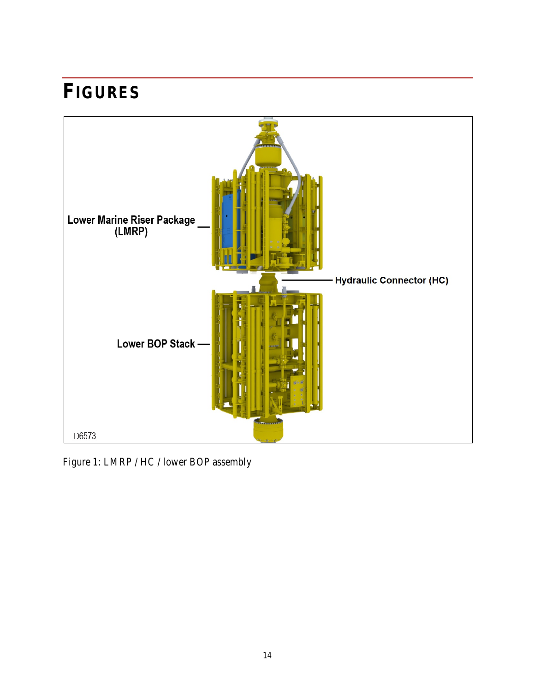# <span id="page-14-0"></span>**FIGURES**



<span id="page-14-1"></span>Figure 1: LMRP / HC / lower BOP assembly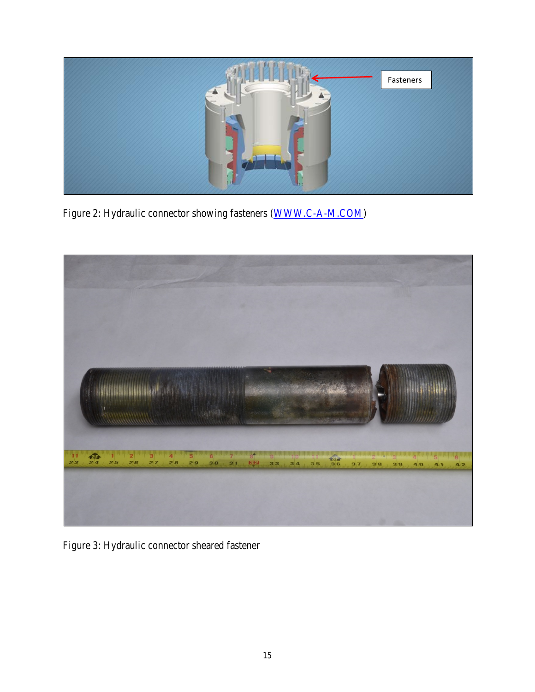

Figure 2: Hydraulic connector showing fasteners [\(WWW.C-A-M.COM\)](http://www.c-a-m.com/)

<span id="page-15-1"></span><span id="page-15-0"></span>

Figure 3: Hydraulic connector sheared fastener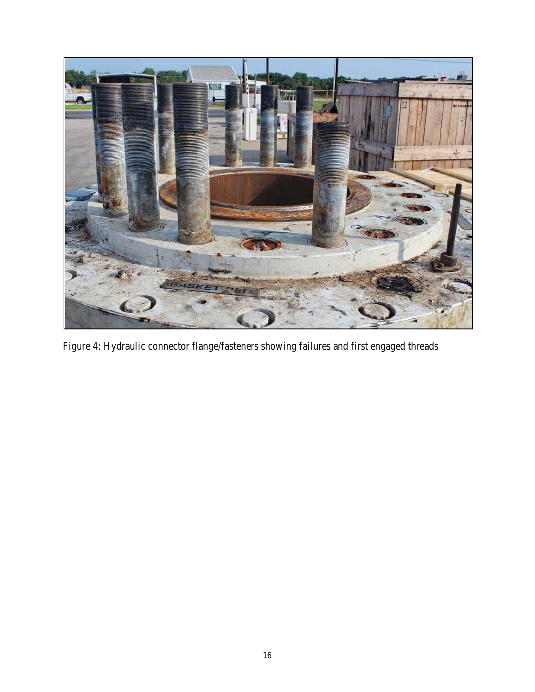<span id="page-16-0"></span>

Figure 4: Hydraulic connector flange/fasteners showing failures and first engaged threads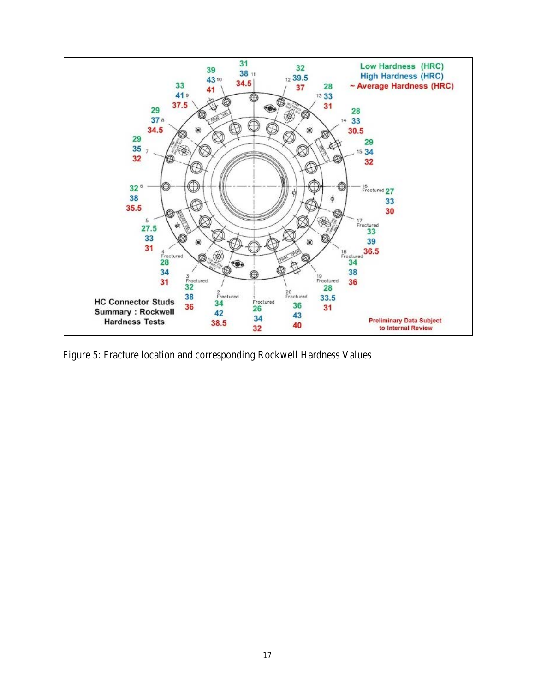

<span id="page-17-0"></span>Figure 5: Fracture location and corresponding Rockwell Hardness Values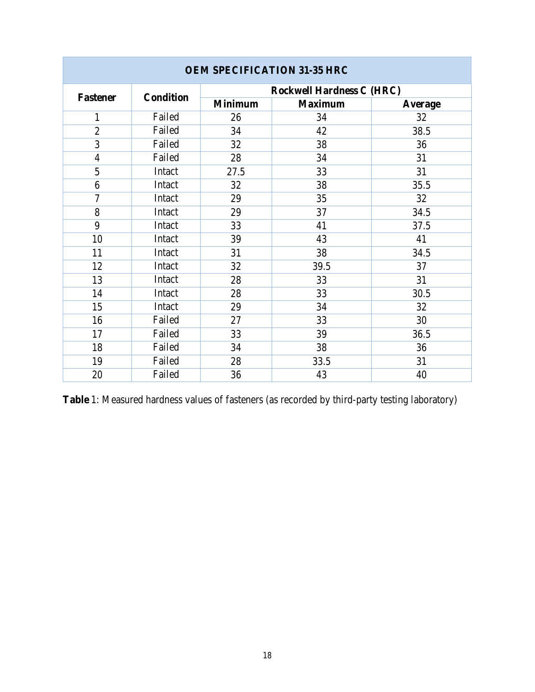| <b>UEM SPECIFICATION 31-33 HRC</b> |                  |                                  |                |         |  |  |
|------------------------------------|------------------|----------------------------------|----------------|---------|--|--|
| <b>Fastener</b>                    | <b>Condition</b> | <b>Rockwell Hardness C (HRC)</b> |                |         |  |  |
|                                    |                  | <b>Minimum</b>                   | <b>Maximum</b> | Average |  |  |
| 1                                  | Failed           | 26                               | 34             | 32      |  |  |
| $\overline{2}$                     | Failed           | 34                               | 42             | 38.5    |  |  |
| 3                                  | Failed           | 32                               | 38             | 36      |  |  |
| $\overline{4}$                     | Failed           | 28                               | 34             | 31      |  |  |
| 5                                  | Intact           | 27.5                             | 33             | 31      |  |  |
| 6                                  | Intact           | 32                               | 38             | 35.5    |  |  |
| 7                                  | Intact           | 29                               | 35             | 32      |  |  |
| 8                                  | Intact           | 29                               | 37             | 34.5    |  |  |
| 9                                  | Intact           | 33                               | 41             | 37.5    |  |  |
| 10                                 | Intact           | 39                               | 43             | 41      |  |  |
| 11                                 | Intact           | 31                               | 38             | 34.5    |  |  |
| 12                                 | Intact           | 32                               | 39.5           | 37      |  |  |
| 13                                 | Intact           | 28                               | 33             | 31      |  |  |
| 14                                 | Intact           | 28                               | 33             | 30.5    |  |  |
| 15                                 | Intact           | 29                               | 34             | 32      |  |  |
| 16                                 | Failed           | 27                               | 33             | 30      |  |  |
| 17                                 | Failed           | 33                               | 39             | 36.5    |  |  |
| 18                                 | Failed           | 34                               | 38             | 36      |  |  |
| 19                                 | Failed           | 28                               | 33.5           | 31      |  |  |
| 20                                 | Failed           | 36                               | 43             | 40      |  |  |

#### **OEM SPECIFICATION 31-35 HRC**

<span id="page-18-0"></span>**Table** 1: Measured hardness values of fasteners (as recorded by third-party testing laboratory)